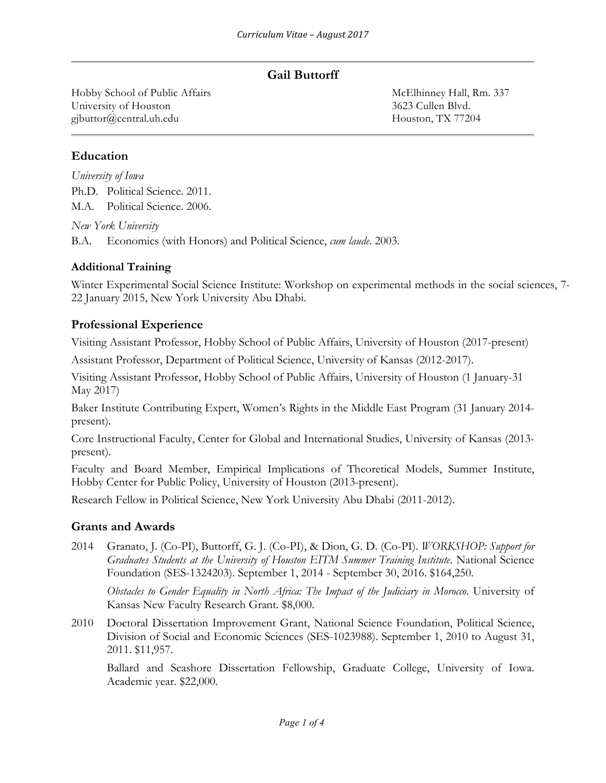## **Gail Buttorff**

Hobby School of Public Affairs McElhinney Hall, Rm. 337 University of Houston 3623 Cullen Blvd. gjbuttor@central.uh.edu Houston, TX 77204

## **Education**

*University of Iowa* Ph.D. Political Science. 2011. M.A. Political Science. 2006.

*New York University*

B.A. Economics (with Honors) and Political Science, *cum laude*. 2003.

### **Additional Training**

Winter Experimental Social Science Institute: Workshop on experimental methods in the social sciences, 7- 22 January 2015, New York University Abu Dhabi.

### **Professional Experience**

Visiting Assistant Professor, Hobby School of Public Affairs, University of Houston (2017-present)

Assistant Professor, Department of Political Science, University of Kansas (2012-2017).

Visiting Assistant Professor, Hobby School of Public Affairs, University of Houston (1 January-31 May 2017)

Baker Institute Contributing Expert, Women's Rights in the Middle East Program (31 January 2014 present).

Core Instructional Faculty, Center for Global and International Studies, University of Kansas (2013 present).

Faculty and Board Member, Empirical Implications of Theoretical Models, Summer Institute, Hobby Center for Public Policy, University of Houston (2013-present).

Research Fellow in Political Science, New York University Abu Dhabi (2011-2012).

#### **Grants and Awards**

2014 Granato, J. (Co-PI), Buttorff, G. J. (Co-PI), & Dion, G. D. (Co-PI). *WORKSHOP: Support for Graduates Students at the University of Houston EITM Summer Training Institute*. National Science Foundation (SES-1324203). September 1, 2014 - September 30, 2016. \$164,250.

*Obstacles to Gender Equality in North Africa: The Impact of the Judiciary in Morocco*. University of Kansas New Faculty Research Grant. \$8,000.

2010 Doctoral Dissertation Improvement Grant, National Science Foundation, Political Science, Division of Social and Economic Sciences (SES-1023988). September 1, 2010 to August 31, 2011. \$11,957.

Ballard and Seashore Dissertation Fellowship, Graduate College, University of Iowa. Academic year. \$22,000.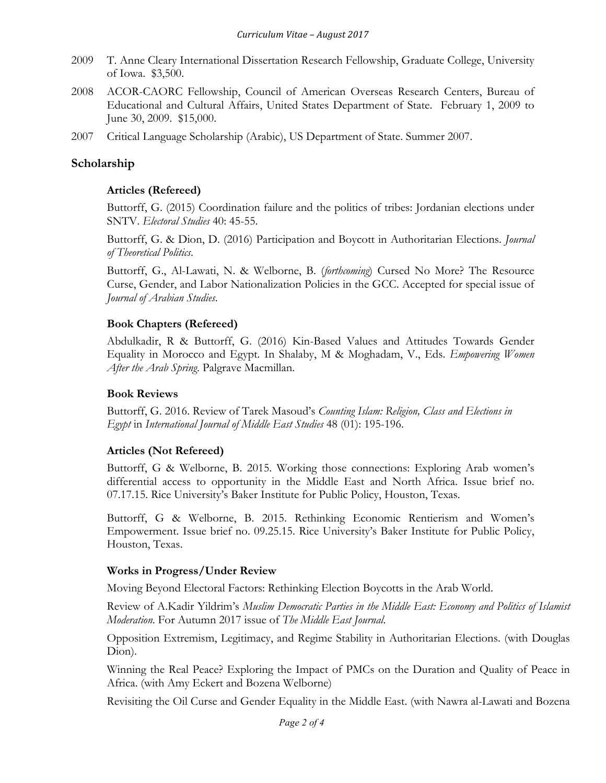- 2009 T. Anne Cleary International Dissertation Research Fellowship, Graduate College, University of Iowa. \$3,500.
- 2008 ACOR-CAORC Fellowship, Council of American Overseas Research Centers, Bureau of Educational and Cultural Affairs, United States Department of State. February 1, 2009 to June 30, 2009. \$15,000.
- 2007 Critical Language Scholarship (Arabic), US Department of State. Summer 2007.

#### **Scholarship**

#### **Articles (Refereed)**

Buttorff, G. (2015) Coordination failure and the politics of tribes: Jordanian elections under SNTV. *Electoral Studies* 40: 45-55.

Buttorff, G. & Dion, D. (2016) Participation and Boycott in Authoritarian Elections. *Journal of Theoretical Politics*.

Buttorff, G., Al-Lawati, N. & Welborne, B. (*forthcoming*) Cursed No More? The Resource Curse, Gender, and Labor Nationalization Policies in the GCC. Accepted for special issue of *Journal of Arabian Studies*.

#### **Book Chapters (Refereed)**

Abdulkadir, R & Buttorff, G. (2016) Kin-Based Values and Attitudes Towards Gender Equality in Morocco and Egypt. In Shalaby, M & Moghadam, V., Eds. *Empowering Women After the Arab Spring*. Palgrave Macmillan.

#### **Book Reviews**

Buttorff, G. 2016. Review of Tarek Masoud's *Counting Islam: Religion, Class and Elections in Egypt* in *International Journal of Middle East Studies* 48 (01): 195-196.

## **Articles (Not Refereed)**

Buttorff, G & Welborne, B. 2015. Working those connections: Exploring Arab women's differential access to opportunity in the Middle East and North Africa. Issue brief no. 07.17.15. Rice University's Baker Institute for Public Policy, Houston, Texas.

Buttorff, G & Welborne, B. 2015. Rethinking Economic Rentierism and Women's Empowerment. Issue brief no. 09.25.15. Rice University's Baker Institute for Public Policy, Houston, Texas.

#### **Works in Progress/Under Review**

Moving Beyond Electoral Factors: Rethinking Election Boycotts in the Arab World.

Review of A.Kadir Yildrim's *Muslim Democratic Parties in the Middle East: Economy and Politics of Islamist Moderation*. For Autumn 2017 issue of *The Middle East Journal*.

Opposition Extremism, Legitimacy, and Regime Stability in Authoritarian Elections. (with Douglas Dion).

Winning the Real Peace? Exploring the Impact of PMCs on the Duration and Quality of Peace in Africa. (with Amy Eckert and Bozena Welborne)

Revisiting the Oil Curse and Gender Equality in the Middle East. (with Nawra al-Lawati and Bozena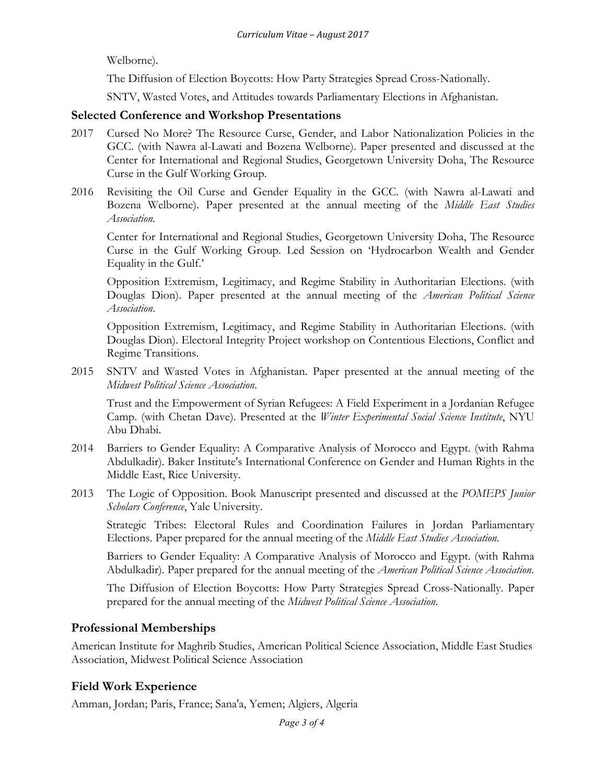Welborne).

The Diffusion of Election Boycotts: How Party Strategies Spread Cross-Nationally.

SNTV, Wasted Votes, and Attitudes towards Parliamentary Elections in Afghanistan.

#### **Selected Conference and Workshop Presentations**

- 2017 Cursed No More? The Resource Curse, Gender, and Labor Nationalization Policies in the GCC. (with Nawra al-Lawati and Bozena Welborne). Paper presented and discussed at the Center for International and Regional Studies, Georgetown University Doha, The Resource Curse in the Gulf Working Group.
- 2016 Revisiting the Oil Curse and Gender Equality in the GCC. (with Nawra al-Lawati and Bozena Welborne). Paper presented at the annual meeting of the *Middle East Studies Association.*

Center for International and Regional Studies, Georgetown University Doha, The Resource Curse in the Gulf Working Group. Led Session on 'Hydrocarbon Wealth and Gender Equality in the Gulf.'

Opposition Extremism, Legitimacy, and Regime Stability in Authoritarian Elections. (with Douglas Dion). Paper presented at the annual meeting of the *American Political Science Association*.

Opposition Extremism, Legitimacy, and Regime Stability in Authoritarian Elections. (with Douglas Dion). Electoral Integrity Project workshop on Contentious Elections, Conflict and Regime Transitions.

2015 SNTV and Wasted Votes in Afghanistan. Paper presented at the annual meeting of the *Midwest Political Science Association*.

Trust and the Empowerment of Syrian Refugees: A Field Experiment in a Jordanian Refugee Camp. (with Chetan Dave). Presented at the *Winter Experimental Social Science Institute*, NYU Abu Dhabi.

- 2014 Barriers to Gender Equality: A Comparative Analysis of Morocco and Egypt. (with Rahma Abdulkadir). Baker Institute's International Conference on Gender and Human Rights in the Middle East, Rice University.
- 2013 The Logic of Opposition. Book Manuscript presented and discussed at the *POMEPS Junior Scholars Conference*, Yale University.

Strategic Tribes: Electoral Rules and Coordination Failures in Jordan Parliamentary Elections. Paper prepared for the annual meeting of the *Middle East Studies Association*.

Barriers to Gender Equality: A Comparative Analysis of Morocco and Egypt. (with Rahma Abdulkadir). Paper prepared for the annual meeting of the *American Political Science Association*.

The Diffusion of Election Boycotts: How Party Strategies Spread Cross-Nationally. Paper prepared for the annual meeting of the *Midwest Political Science Association*.

## **Professional Memberships**

American Institute for Maghrib Studies, American Political Science Association, Middle East Studies Association, Midwest Political Science Association

## **Field Work Experience**

Amman, Jordan; Paris, France; Sana'a, Yemen; Algiers, Algeria